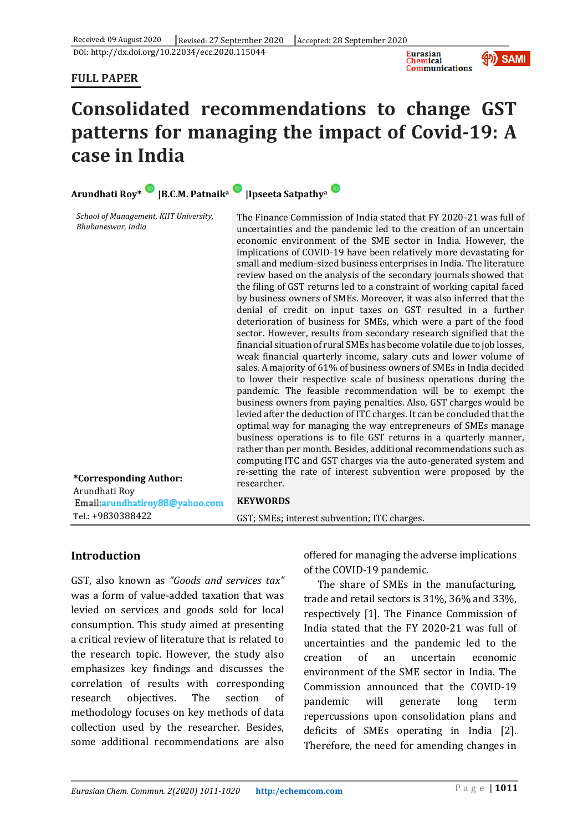DOI: http://dx.doi.org/10.22034/ecc.2020.115044

### **FULL PAPER**





# **Consolidated recommendations to change GST patterns for managing the impact of Covid-19: A case in India**

| Arundhati Roy* B.C.M. Patnaika                                                                          | <b>Ipseeta Satpathya</b>                                                                                                                                                                                                                                                                                                                                                                                                                                                                                                                                                                                                                                                                                                                                                                                                                                                                                                                                                                                                                                                                                                                                                                                                                                                                                                                                                                                                                                                                                                                                                                                                                                                |
|---------------------------------------------------------------------------------------------------------|-------------------------------------------------------------------------------------------------------------------------------------------------------------------------------------------------------------------------------------------------------------------------------------------------------------------------------------------------------------------------------------------------------------------------------------------------------------------------------------------------------------------------------------------------------------------------------------------------------------------------------------------------------------------------------------------------------------------------------------------------------------------------------------------------------------------------------------------------------------------------------------------------------------------------------------------------------------------------------------------------------------------------------------------------------------------------------------------------------------------------------------------------------------------------------------------------------------------------------------------------------------------------------------------------------------------------------------------------------------------------------------------------------------------------------------------------------------------------------------------------------------------------------------------------------------------------------------------------------------------------------------------------------------------------|
| School of Management, KIIT University,<br>Bhubaneswar, India<br>*Corresponding Author:<br>Arundhati Roy | The Finance Commission of India stated that FY 2020-21 was full of<br>uncertainties and the pandemic led to the creation of an uncertain<br>economic environment of the SME sector in India. However, the<br>implications of COVID-19 have been relatively more devastating for<br>small and medium-sized business enterprises in India. The literature<br>review based on the analysis of the secondary journals showed that<br>the filing of GST returns led to a constraint of working capital faced<br>by business owners of SMEs. Moreover, it was also inferred that the<br>denial of credit on input taxes on GST resulted in a further<br>deterioration of business for SMEs, which were a part of the food<br>sector. However, results from secondary research signified that the<br>financial situation of rural SMEs has become volatile due to job losses,<br>weak financial quarterly income, salary cuts and lower volume of<br>sales. A majority of 61% of business owners of SMEs in India decided<br>to lower their respective scale of business operations during the<br>pandemic. The feasible recommendation will be to exempt the<br>business owners from paying penalties. Also, GST charges would be<br>levied after the deduction of ITC charges. It can be concluded that the<br>optimal way for managing the way entrepreneurs of SMEs manage<br>business operations is to file GST returns in a quarterly manner,<br>rather than per month. Besides, additional recommendations such as<br>computing ITC and GST charges via the auto-generated system and<br>re-setting the rate of interest subvention were proposed by the<br>researcher. |
| Email:arundhatiroy88@yahoo.com<br>Tel.: +9830388422                                                     | <b>KEYWORDS</b>                                                                                                                                                                                                                                                                                                                                                                                                                                                                                                                                                                                                                                                                                                                                                                                                                                                                                                                                                                                                                                                                                                                                                                                                                                                                                                                                                                                                                                                                                                                                                                                                                                                         |
|                                                                                                         | GST; SMEs; interest subvention; ITC charges.                                                                                                                                                                                                                                                                                                                                                                                                                                                                                                                                                                                                                                                                                                                                                                                                                                                                                                                                                                                                                                                                                                                                                                                                                                                                                                                                                                                                                                                                                                                                                                                                                            |

# **Introduction**

GST, also known as *"Goods and services tax"* was a form of value-added taxation that was levied on services and goods sold for local consumption. This study aimed at presenting a critical review of literature that is related to the research topic. However, the study also emphasizes key findings and discusses the correlation of results with corresponding research objectives. The section of methodology focuses on key methods of data collection used by the researcher. Besides, some additional recommendations are also

offered for managing the adverse implications of the COVID-19 pandemic.

The share of SMEs in the manufacturing, trade and retail sectors is 31%, 36% and 33%, respectively [1]. The Finance Commission of India stated that the FY 2020-21 was full of uncertainties and the pandemic led to the creation of an uncertain economic environment of the SME sector in India. The Commission announced that the COVID-19 pandemic will generate long term repercussions upon consolidation plans and deficits of SMEs operating in India [2]. Therefore, the need for amending changes in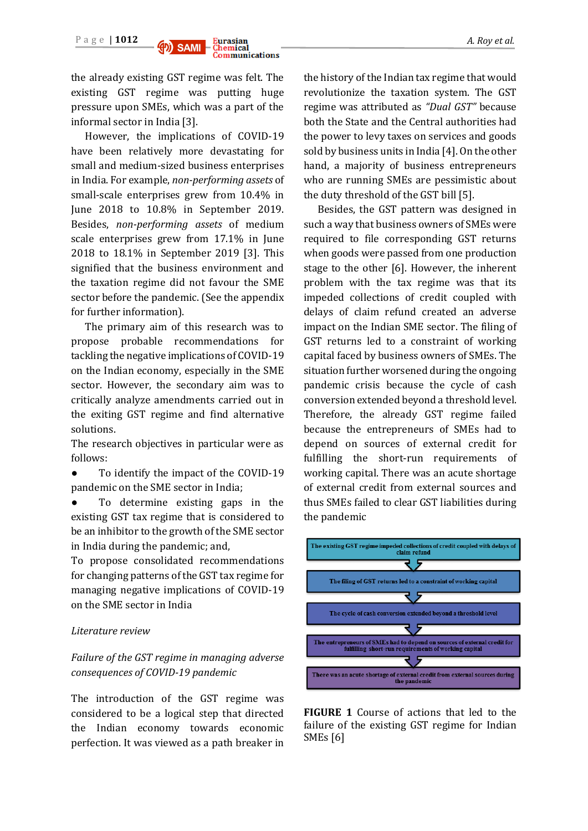

the already existing GST regime was felt. The existing GST regime was putting huge pressure upon SMEs, which was a part of the informal sector in India [3].

However, the implications of COVID-19 have been relatively more devastating for small and medium-sized business enterprises in India. For example, *non-performing assets* of small-scale enterprises grew from 10.4% in June 2018 to 10.8% in September 2019. Besides, *non-performing assets* of medium scale enterprises grew from 17.1% in June 2018 to 18.1% in September 2019 [3]. This signified that the business environment and the taxation regime did not favour the SME sector before the pandemic. (See the appendix for further information).

The primary aim of this research was to propose probable recommendations for tackling the negative implications of COVID-19 on the Indian economy, especially in the SME sector. However, the secondary aim was to critically analyze amendments carried out in the exiting GST regime and find alternative solutions.

The research objectives in particular were as follows:

- To identify the impact of the COVID-19 pandemic on the SME sector in India;
- To determine existing gaps in the existing GST tax regime that is considered to be an inhibitor to the growth of the SME sector in India during the pandemic; and,

To propose consolidated recommendations for changing patterns of the GST tax regime for managing negative implications of COVID-19 on the SME sector in India

#### *Literature review*

*Failure of the GST regime in managing adverse consequences of COVID-19 pandemic* 

The introduction of the GST regime was considered to be a logical step that directed the Indian economy towards economic perfection. It was viewed as a path breaker in the history of the Indian tax regime that would revolutionize the taxation system. The GST regime was attributed as *"Dual GST"* because both the State and the Central authorities had the power to levy taxes on services and goods sold by business units in India [4]. On the other hand, a majority of business entrepreneurs who are running SMEs are pessimistic about the duty threshold of the GST bill [5].

Besides, the GST pattern was designed in such a way that business owners of SMEs were required to file corresponding GST returns when goods were passed from one production stage to the other [6]. However, the inherent problem with the tax regime was that its impeded collections of credit coupled with delays of claim refund created an adverse impact on the Indian SME sector. The filing of GST returns led to a constraint of working capital faced by business owners of SMEs. The situation further worsened during the ongoing pandemic crisis because the cycle of cash conversion extended beyond a threshold level. Therefore, the already GST regime failed because the entrepreneurs of SMEs had to depend on sources of external credit for fulfilling the short-run requirements of working capital. There was an acute shortage of external credit from external sources and thus SMEs failed to clear GST liabilities during the pandemic



**FIGURE 1** Course of actions that led to the failure of the existing GST regime for Indian SMEs [6]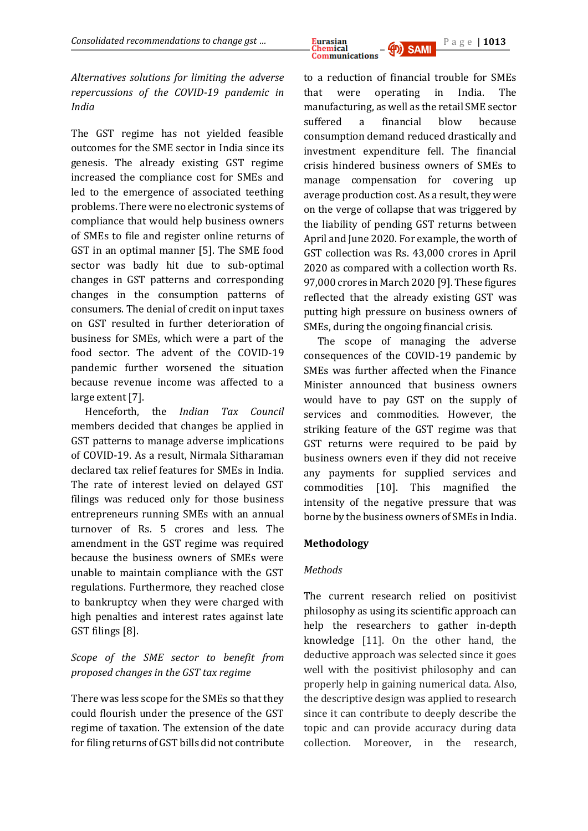

*Alternatives solutions for limiting the adverse repercussions of the COVID-19 pandemic in India*

The GST regime has not yielded feasible outcomes for the SME sector in India since its genesis. The already existing GST regime increased the compliance cost for SMEs and led to the emergence of associated teething problems. There were no electronic systems of compliance that would help business owners of SMEs to file and register online returns of GST in an optimal manner [5]. The SME food sector was badly hit due to sub-optimal changes in GST patterns and corresponding changes in the consumption patterns of consumers. The denial of credit on input taxes on GST resulted in further deterioration of business for SMEs, which were a part of the food sector. The advent of the COVID-19 pandemic further worsened the situation because revenue income was affected to a large extent [7].

Henceforth, the *Indian Tax Council* members decided that changes be applied in GST patterns to manage adverse implications of COVID-19. As a result, Nirmala Sitharaman declared tax relief features for SMEs in India. The rate of interest levied on delayed GST filings was reduced only for those business entrepreneurs running SMEs with an annual turnover of Rs. 5 crores and less. The amendment in the GST regime was required because the business owners of SMEs were unable to maintain compliance with the GST regulations. Furthermore, they reached close to bankruptcy when they were charged with high penalties and interest rates against late GST filings [8].

# *Scope of the SME sector to benefit from proposed changes in the GST tax regime*

There was less scope for the SMEs so that they could flourish under the presence of the GST regime of taxation. The extension of the date for filing returns of GST bills did not contribute

to a reduction of financial trouble for SMEs that were operating in India. The manufacturing, as well as the retail SME sector suffered a financial blow because consumption demand reduced drastically and investment expenditure fell. The financial crisis hindered business owners of SMEs to manage compensation for covering up average production cost. As a result, they were on the verge of collapse that was triggered by the liability of pending GST returns between April and June 2020. For example, the worth of GST collection was Rs. 43,000 crores in April 2020 as compared with a collection worth Rs. 97,000 crores in March 2020 [9]. These figures reflected that the already existing GST was putting high pressure on business owners of SMEs, during the ongoing financial crisis.

The scope of managing the adverse consequences of the COVID-19 pandemic by SMEs was further affected when the Finance Minister announced that business owners would have to pay GST on the supply of services and commodities. However, the striking feature of the GST regime was that GST returns were required to be paid by business owners even if they did not receive any payments for supplied services and commodities [10]. This magnified the intensity of the negative pressure that was borne by the business owners of SMEs in India.

# **Methodology**

#### *Methods*

The current research relied on positivist philosophy as using its scientific approach can help the researchers to gather in-depth knowledge [11]. On the other hand, the deductive approach was selected since it goes well with the positivist philosophy and can properly help in gaining numerical data. Also, the descriptive design was applied to research since it can contribute to deeply describe the topic and can provide accuracy during data collection. Moreover, in the research,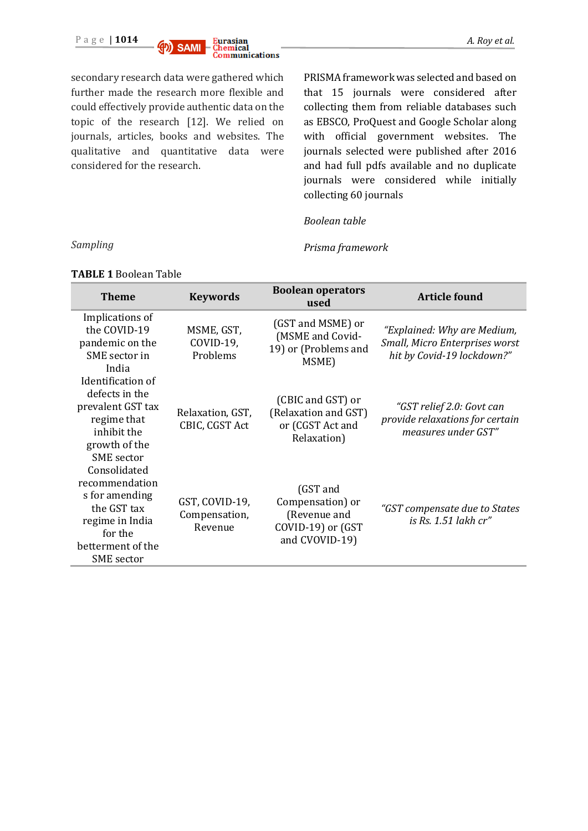

secondary research data were gathered which further made the research more flexible and could effectively provide authentic data on the topic of the research [12]. We relied on journals, articles, books and websites. The qualitative and quantitative data were considered for the research.

PRISMA framework was selected and based on that 15 journals were considered after collecting them from reliable databases such as EBSCO, ProQuest and Google Scholar along with official government websites. The journals selected were published after 2016 and had full pdfs available and no duplicate journals were considered while initially collecting 60 journals

#### *Boolean table*

*Prisma framework*

| <b>Theme</b>                                                                                                                            | <b>Keywords</b>                            | <b>Boolean operators</b><br>used                                                    | <b>Article found</b>                                                                        |
|-----------------------------------------------------------------------------------------------------------------------------------------|--------------------------------------------|-------------------------------------------------------------------------------------|---------------------------------------------------------------------------------------------|
| Implications of<br>the COVID-19<br>pandemic on the<br>SME sector in<br>India                                                            | MSME, GST,<br>COVID-19,<br>Problems        | (GST and MSME) or<br>(MSME and Covid-<br>19) or (Problems and<br>MSME)              | "Explained: Why are Medium,<br>Small, Micro Enterprises worst<br>hit by Covid-19 lockdown?" |
| Identification of<br>defects in the<br>prevalent GST tax<br>regime that<br>inhibit the<br>growth of the<br><b>SME</b> sector            | Relaxation, GST,<br>CBIC, CGST Act         | (CBIC and GST) or<br>(Relaxation and GST)<br>or (CGST Act and<br>Relaxation)        | "GST relief 2.0: Govt can<br>provide relaxations for certain<br>measures under GST"         |
| Consolidated<br>recommendation<br>s for amending<br>the GST tax<br>regime in India<br>for the<br>betterment of the<br><b>SME</b> sector | GST, COVID-19,<br>Compensation,<br>Revenue | (GST and<br>Compensation) or<br>(Revenue and<br>COVID-19) or (GST<br>and CVOVID-19) | "GST compensate due to States<br>is Rs. 1.51 lakh cr"                                       |

**TABLE 1** Boolean Table

*Sampling*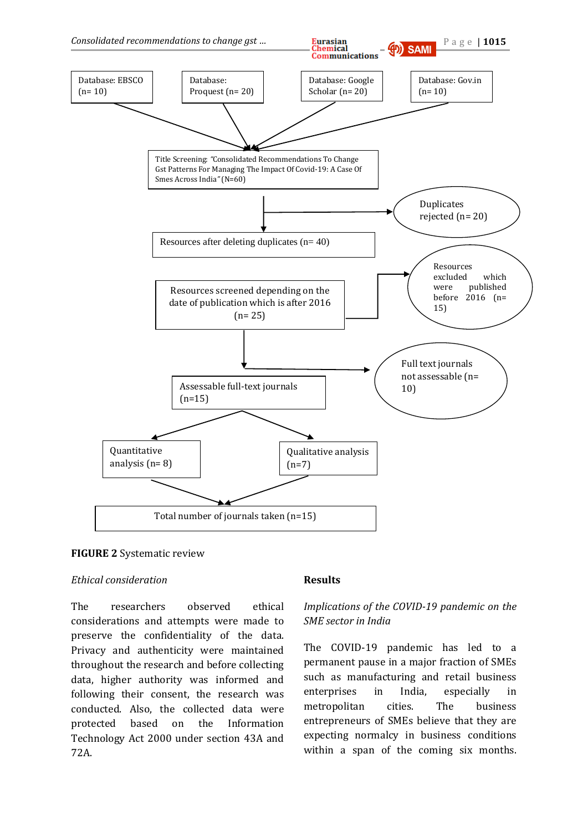



#### *Ethical consideration*

The researchers observed ethical considerations and attempts were made to preserve the confidentiality of the data. Privacy and authenticity were maintained throughout the research and before collecting data, higher authority was informed and following their consent, the research was conducted. Also, the collected data were protected based on the Information Technology Act 2000 under section 43A and 72A.

#### **Results**

### *Implications of the COVID-19 pandemic on the SME sector in India*

The COVID-19 pandemic has led to a permanent pause in a major fraction of SMEs such as manufacturing and retail business enterprises in India, especially in metropolitan cities. The business entrepreneurs of SMEs believe that they are expecting normalcy in business conditions within a span of the coming six months.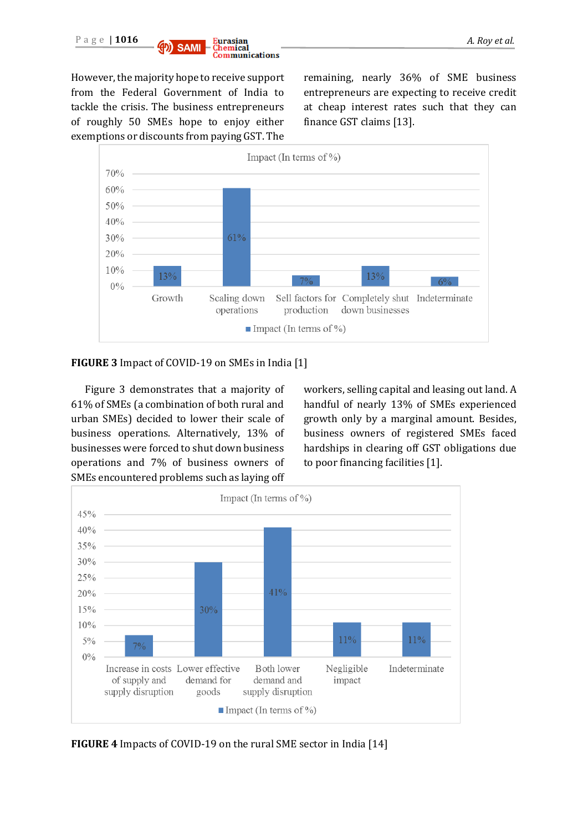

Communications

However, the majority hope to receive support from the Federal Government of India to tackle the crisis. The business entrepreneurs of roughly 50 SMEs hope to enjoy either exemptions or discounts from paying GST. The

remaining, nearly 36% of SME business entrepreneurs are expecting to receive credit at cheap interest rates such that they can finance GST claims [13].



#### **FIGURE 3** Impact of COVID-19 on SMEs in India [1]

Figure 3 demonstrates that a majority of 61% of SMEs (a combination of both rural and urban SMEs) decided to lower their scale of business operations. Alternatively, 13% of businesses were forced to shut down business operations and 7% of business owners of SMEs encountered problems such as laying off workers, selling capital and leasing out land. A handful of nearly 13% of SMEs experienced growth only by a marginal amount. Besides, business owners of registered SMEs faced hardships in clearing off GST obligations due to poor financing facilities [1].



**FIGURE 4** Impacts of COVID-19 on the rural SME sector in India [14]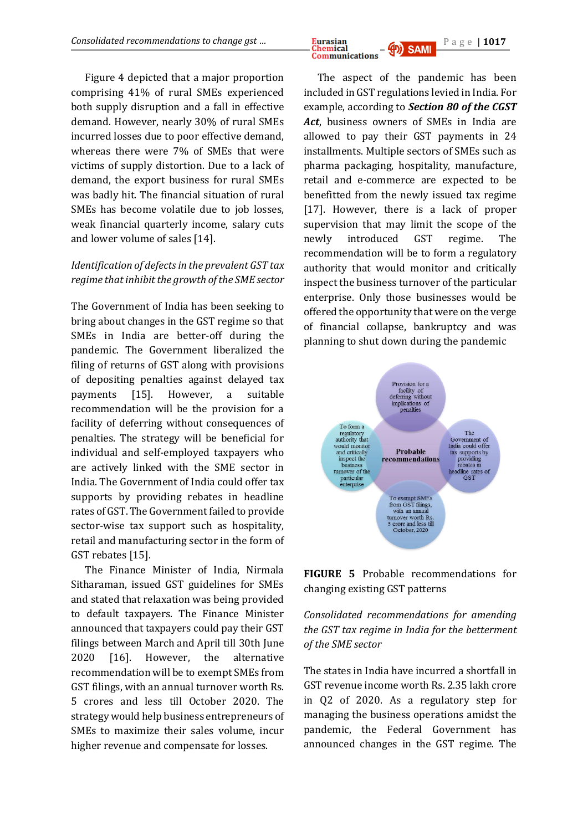Figure 4 depicted that a major proportion comprising 41% of rural SMEs experienced both supply disruption and a fall in effective demand. However, nearly 30% of rural SMEs incurred losses due to poor effective demand, whereas there were 7% of SMEs that were victims of supply distortion. Due to a lack of demand, the export business for rural SMEs was badly hit. The financial situation of rural SMEs has become volatile due to job losses, weak financial quarterly income, salary cuts and lower volume of sales [14].

## *Identification of defects in the prevalent GST tax regime that inhibit the growth of the SME sector*

The Government of India has been seeking to bring about changes in the GST regime so that SMEs in India are better-off during the pandemic. The Government liberalized the filing of returns of GST along with provisions of depositing penalties against delayed tax payments [15]. However, a suitable recommendation will be the provision for a facility of deferring without consequences of penalties. The strategy will be beneficial for individual and self-employed taxpayers who are actively linked with the SME sector in India. The Government of India could offer tax supports by providing rebates in headline rates of GST. The Government failed to provide sector-wise tax support such as hospitality, retail and manufacturing sector in the form of GST rebates [15].

The Finance Minister of India, Nirmala Sitharaman, issued GST guidelines for SMEs and stated that relaxation was being provided to default taxpayers. The Finance Minister announced that taxpayers could pay their GST filings between March and April till 30th June 2020 [16]. However, the alternative recommendation will be to exempt SMEs from GST filings, with an annual turnover worth Rs. 5 crores and less till October 2020. The strategy would help business entrepreneurs of SMEs to maximize their sales volume, incur higher revenue and compensate for losses.

*Consolidated recommendations to change gst ...* **Eurasian Chemical Generical Generical Change of Chemical Change of Chemical Change of Chemical Change of Chemical Change of Chemical Change of Chemical Communications** 

> The aspect of the pandemic has been included in GST regulations levied in India. For example, according to *Section 80 of the CGST Act*, business owners of SMEs in India are allowed to pay their GST payments in 24 installments. Multiple sectors of SMEs such as pharma packaging, hospitality, manufacture, retail and e-commerce are expected to be benefitted from the newly issued tax regime [17]. However, there is a lack of proper supervision that may limit the scope of the newly introduced GST regime. The recommendation will be to form a regulatory authority that would monitor and critically inspect the business turnover of the particular enterprise. Only those businesses would be offered the opportunity that were on the verge of financial collapse, bankruptcy and was planning to shut down during the pandemic



**FIGURE 5** Probable recommendations for changing existing GST patterns

*Consolidated recommendations for amending the GST tax regime in India for the betterment of the SME sector*

The states in India have incurred a shortfall in GST revenue income worth Rs. 2.35 lakh crore in Q2 of 2020. As a regulatory step for managing the business operations amidst the pandemic, the Federal Government has announced changes in the GST regime. The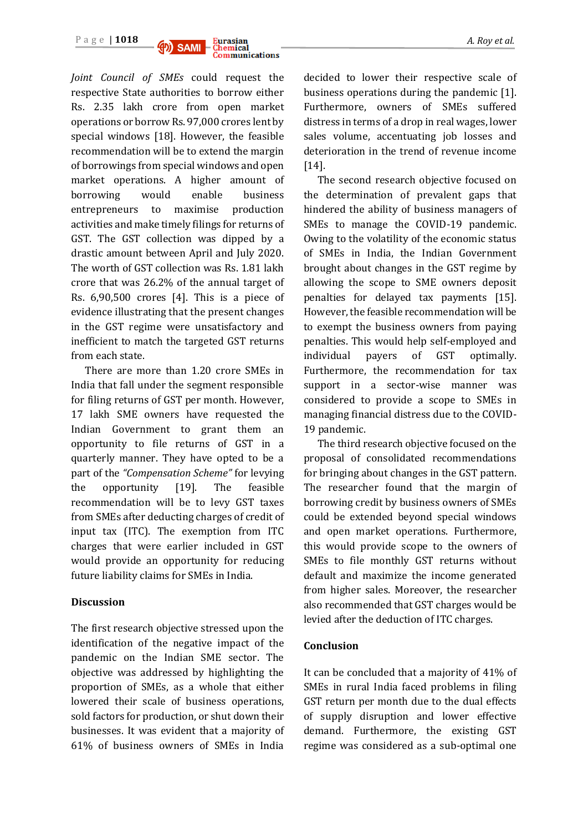



*Joint Council of SMEs* could request the respective State authorities to borrow either Rs. 2.35 lakh crore from open market operations or borrow Rs. 97,000 crores lent by special windows [18]. However, the feasible recommendation will be to extend the margin of borrowings from special windows and open market operations. A higher amount of borrowing would enable business entrepreneurs to maximise production activities and make timely filings for returns of GST. The GST collection was dipped by a drastic amount between April and July 2020. The worth of GST collection was Rs. 1.81 lakh crore that was 26.2% of the annual target of Rs. 6,90,500 crores [4]. This is a piece of evidence illustrating that the present changes in the GST regime were unsatisfactory and inefficient to match the targeted GST returns from each state.

There are more than 1.20 crore SMEs in India that fall under the segment responsible for filing returns of GST per month. However, 17 lakh SME owners have requested the Indian Government to grant them an opportunity to file returns of GST in a quarterly manner. They have opted to be a part of the *"Compensation Scheme"* for levying the opportunity [19]. The feasible recommendation will be to levy GST taxes from SMEs after deducting charges of credit of input tax (ITC). The exemption from ITC charges that were earlier included in GST would provide an opportunity for reducing future liability claims for SMEs in India.

#### **Discussion**

The first research objective stressed upon the identification of the negative impact of the pandemic on the Indian SME sector. The objective was addressed by highlighting the proportion of SMEs, as a whole that either lowered their scale of business operations, sold factors for production, or shut down their businesses. It was evident that a majority of 61% of business owners of SMEs in India decided to lower their respective scale of business operations during the pandemic [1]. Furthermore, owners of SMEs suffered distress in terms of a drop in real wages, lower sales volume, accentuating job losses and deterioration in the trend of revenue income [14].

The second research objective focused on the determination of prevalent gaps that hindered the ability of business managers of SMEs to manage the COVID-19 pandemic. Owing to the volatility of the economic status of SMEs in India, the Indian Government brought about changes in the GST regime by allowing the scope to SME owners deposit penalties for delayed tax payments [15]. However, the feasible recommendation will be to exempt the business owners from paying penalties. This would help self-employed and individual payers of GST optimally. Furthermore, the recommendation for tax support in a sector-wise manner was considered to provide a scope to SMEs in managing financial distress due to the COVID-19 pandemic.

The third research objective focused on the proposal of consolidated recommendations for bringing about changes in the GST pattern. The researcher found that the margin of borrowing credit by business owners of SMEs could be extended beyond special windows and open market operations. Furthermore, this would provide scope to the owners of SMEs to file monthly GST returns without default and maximize the income generated from higher sales. Moreover, the researcher also recommended that GST charges would be levied after the deduction of ITC charges.

#### **Conclusion**

It can be concluded that a majority of 41% of SMEs in rural India faced problems in filing GST return per month due to the dual effects of supply disruption and lower effective demand. Furthermore, the existing GST regime was considered as a sub-optimal one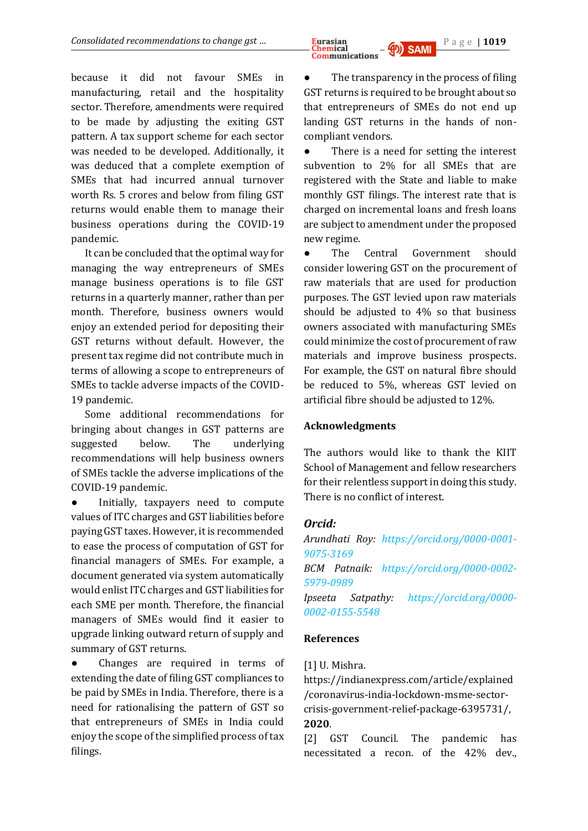because it did not favour SMEs in manufacturing, retail and the hospitality sector. Therefore, amendments were required to be made by adjusting the exiting GST pattern. A tax support scheme for each sector was needed to be developed. Additionally, it was deduced that a complete exemption of SMEs that had incurred annual turnover worth Rs. 5 crores and below from filing GST returns would enable them to manage their business operations during the COVID-19 pandemic.

It can be concluded that the optimal way for managing the way entrepreneurs of SMEs manage business operations is to file GST returns in a quarterly manner, rather than per month. Therefore, business owners would enjoy an extended period for depositing their GST returns without default. However, the present tax regime did not contribute much in terms of allowing a scope to entrepreneurs of SMEs to tackle adverse impacts of the COVID-19 pandemic.

Some additional recommendations for bringing about changes in GST patterns are suggested below. The underlying recommendations will help business owners of SMEs tackle the adverse implications of the COVID-19 pandemic.

Initially, taxpayers need to compute values of ITC charges and GST liabilities before paying GST taxes. However, it is recommended to ease the process of computation of GST for financial managers of SMEs. For example, a document generated via system automatically would enlist ITC charges and GST liabilities for each SME per month. Therefore, the financial managers of SMEs would find it easier to upgrade linking outward return of supply and summary of GST returns.

Changes are required in terms of extending the date of filing GST compliances to be paid by SMEs in India. Therefore, there is a need for rationalising the pattern of GST so that entrepreneurs of SMEs in India could enjoy the scope of the simplified process of tax filings.

The transparency in the process of filing GST returns is required to be brought about so that entrepreneurs of SMEs do not end up landing GST returns in the hands of noncompliant vendors.

● There is a need for setting the interest subvention to 2% for all SMEs that are registered with the State and liable to make monthly GST filings. The interest rate that is charged on incremental loans and fresh loans are subject to amendment under the proposed new regime.

● The Central Government should consider lowering GST on the procurement of raw materials that are used for production purposes. The GST levied upon raw materials should be adjusted to 4% so that business owners associated with manufacturing SMEs could minimize the cost of procurement of raw materials and improve business prospects. For example, the GST on natural fibre should be reduced to 5%, whereas GST levied on artificial fibre should be adjusted to 12%.

#### **Acknowledgments**

The authors would like to thank the KIIT School of Management and fellow researchers for their relentless support in doing this study. There is no conflict of interest.

# *Orcid:*

*Arundhati Roy: [https://orcid.org/0000-0001-](https://orcid.org/0000-0001-9075-3169) [9075-3169](https://orcid.org/0000-0001-9075-3169) BCM Patnaik: [https://orcid.org/0000-0002-](https://orcid.org/0000-0002-5979-0989) [5979-0989](https://orcid.org/0000-0002-5979-0989) Ipseeta Satpathy: [https://orcid.org/0000-](https://orcid.org/0000-0002-0155-5548) [0002-0155-5548](https://orcid.org/0000-0002-0155-5548)*

#### **References**

#### [1] U. Mishra.

https://indianexpress.com/article/explained /coronavirus-india-lockdown-msme-sectorcrisis-government-relief-package-6395731/, **2020**.

[2] GST Council*.* The pandemic has necessitated a recon. of the 42% dev.,